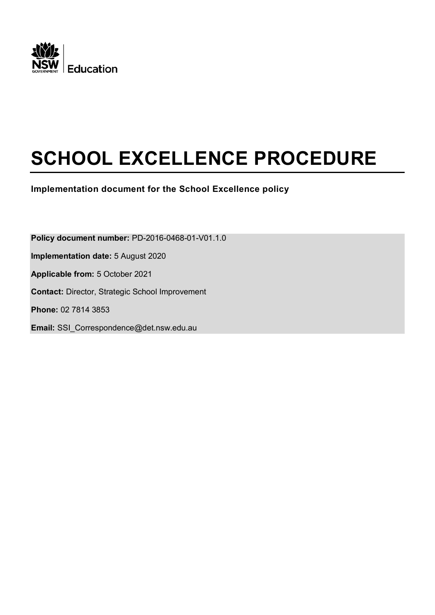

# **SCHOOL EXCELLENCE PROCEDURE**

**Implementation document for the School Excellence policy**

**Policy document number:** PD-2016-0468-01-V01.1.0 **Implementation date:** 5 August 2020 **Applicable from:** 5 October 2021 **Contact:** Director, Strategic School Improvement **Phone:** 02 7814 3853 **Email:** SSI\_Correspondence@det.nsw.edu.au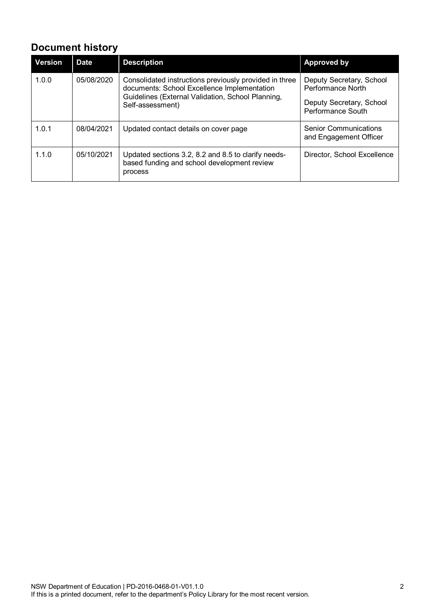# **Document history**

| <b>Version</b> | <b>Date</b> | <b>Description</b>                                                                                                                                                             | <b>Approved by</b>                                                                             |
|----------------|-------------|--------------------------------------------------------------------------------------------------------------------------------------------------------------------------------|------------------------------------------------------------------------------------------------|
| 1.0.0          | 05/08/2020  | Consolidated instructions previously provided in three<br>documents: School Excellence Implementation<br>Guidelines (External Validation, School Planning,<br>Self-assessment) | Deputy Secretary, School<br>Performance North<br>Deputy Secretary, School<br>Performance South |
| 1.0.1          | 08/04/2021  | Updated contact details on cover page                                                                                                                                          | <b>Senior Communications</b><br>and Engagement Officer                                         |
| 1.1.0          | 05/10/2021  | Updated sections 3.2, 8.2 and 8.5 to clarify needs-<br>based funding and school development review<br>process                                                                  | Director, School Excellence                                                                    |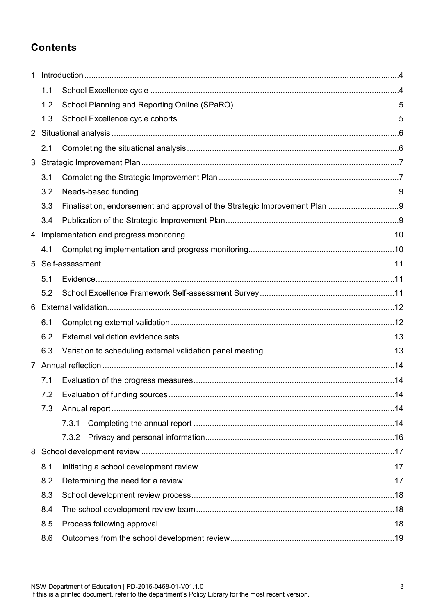# **Contents**

| 1 |     |       |      |  |
|---|-----|-------|------|--|
|   | 1.1 |       |      |  |
|   | 1.2 |       |      |  |
|   | 1.3 |       |      |  |
|   |     |       |      |  |
|   | 2.1 |       |      |  |
| 3 |     |       |      |  |
|   | 3.1 |       |      |  |
|   | 3.2 |       |      |  |
|   | 3.3 |       |      |  |
|   | 3.4 |       |      |  |
|   |     |       |      |  |
|   | 4.1 |       |      |  |
| 5 |     |       |      |  |
|   | 5.1 |       |      |  |
|   | 5.2 |       |      |  |
| 6 |     |       |      |  |
|   | 6.1 |       |      |  |
|   | 6.2 |       |      |  |
|   | 6.3 |       |      |  |
|   |     |       |      |  |
|   | 7.1 |       |      |  |
|   | 7.2 |       | . 14 |  |
|   | 7.3 |       |      |  |
|   |     | 7.3.1 |      |  |
|   |     | 7.3.2 |      |  |
|   |     |       |      |  |
|   | 8.1 |       |      |  |
|   | 8.2 |       |      |  |
|   | 8.3 |       |      |  |
|   | 8.4 |       |      |  |
|   | 8.5 |       |      |  |
|   | 8.6 |       |      |  |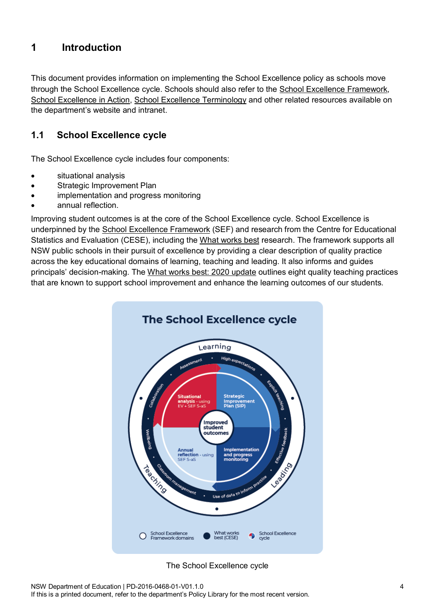# <span id="page-3-0"></span>**1 Introduction**

This document provides information on implementing the School Excellence policy as schools move through the School Excellence cycle. Schools should also refer to the [School Excellence Framework,](https://education.nsw.gov.au/teaching-and-learning/school-excellence-and-accountability/sef-evidence-guide/resources/about-sef) [School Excellence in Action,](https://education.nsw.gov.au/teaching-and-learning/school-excellence-and-accountability/2021-school-excellence-in-action/implementation-and-progress-monitoring/ongoing-self-assessment-evaluation-and-annual-reflection) [School Excellence Terminology](https://education.nsw.gov.au/teaching-and-learning/school-excellence-and-accountability/2021-school-excellence-in-action/school-excellence-terminology) and other related resources available on the department's website and intranet.

### <span id="page-3-1"></span>**1.1 School Excellence cycle**

The School Excellence cycle includes four components:

- situational analysis
- Strategic Improvement Plan
- implementation and progress monitoring
- annual reflection.

Improving student outcomes is at the core of the School Excellence cycle. School Excellence is underpinned by the [School Excellence Framework](https://education.nsw.gov.au/content/dam/main-education/teaching-and-learning/school-excellence-and-accountability/media/documents/SEF_Document_Version_2_2017_AA.pdf) (SEF) and research from the Centre for Educational Statistics and Evaluation (CESE), including the [What works best](https://www.cese.nsw.gov.au/publications-filter/what-works-best-evidence-based-practices-to-help-improve-nsw-student-performance) research. The framework supports all NSW public schools in their pursuit of excellence by providing a clear description of quality practice across the key educational domains of learning, teaching and leading. It also informs and guides principals' decision-making. The [What works best: 2020 update](https://www.cese.nsw.gov.au/publications-filter/what-works-best-2020-update) outlines eight quality teaching practices that are known to support school improvement and enhance the learning outcomes of our students.



The School Excellence cycle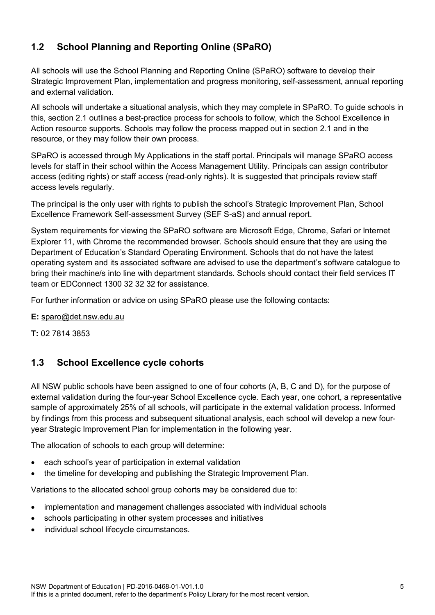# <span id="page-4-0"></span>**1.2 School Planning and Reporting Online (SPaRO)**

All schools will use the School Planning and Reporting Online (SPaRO) software to develop their Strategic Improvement Plan, implementation and progress monitoring, self-assessment, annual reporting and external validation.

All schools will undertake a situational analysis, which they may complete in SPaRO. To guide schools in this, section 2.1 outlines a best-practice process for schools to follow, which the School Excellence in Action resource supports. Schools may follow the process mapped out in section 2.1 and in the resource, or they may follow their own process.

SPaRO is accessed through My Applications in the staff portal. Principals will manage SPaRO access levels for staff in their school within the Access Management Utility. Principals can assign contributor access (editing rights) or staff access (read-only rights). It is suggested that principals review staff access levels regularly.

The principal is the only user with rights to publish the school's Strategic Improvement Plan, School Excellence Framework Self-assessment Survey (SEF S-aS) and annual report.

System requirements for viewing the SPaRO software are Microsoft Edge, Chrome, Safari or Internet Explorer 11, with Chrome the recommended browser. Schools should ensure that they are using the Department of Education's Standard Operating Environment. Schools that do not have the latest operating system and its associated software are advised to use the department's software catalogue to bring their machine/s into line with department standards. Schools should contact their field services IT team or [EDConnect](https://education.nsw.gov.au/inside-the-department/edconnect) 1300 32 32 32 for assistance.

For further information or advice on using SPaRO please use the following contacts:

**E:** [sparo@det.nsw.edu.au](mailto:sparo@det.nsw.edu.au)

**T:** 02 7814 3853

### <span id="page-4-1"></span>**1.3 School Excellence cycle cohorts**

All NSW public schools have been assigned to one of four cohorts (A, B, C and D), for the purpose of external validation during the four-year School Excellence cycle. Each year, one cohort, a representative sample of approximately 25% of all schools, will participate in the external validation process. Informed by findings from this process and subsequent situational analysis, each school will develop a new fouryear Strategic Improvement Plan for implementation in the following year.

The allocation of schools to each group will determine:

- each school's year of participation in external validation
- the timeline for developing and publishing the Strategic Improvement Plan.

Variations to the allocated school group cohorts may be considered due to:

- implementation and management challenges associated with individual schools
- schools participating in other system processes and initiatives
- individual school lifecycle circumstances.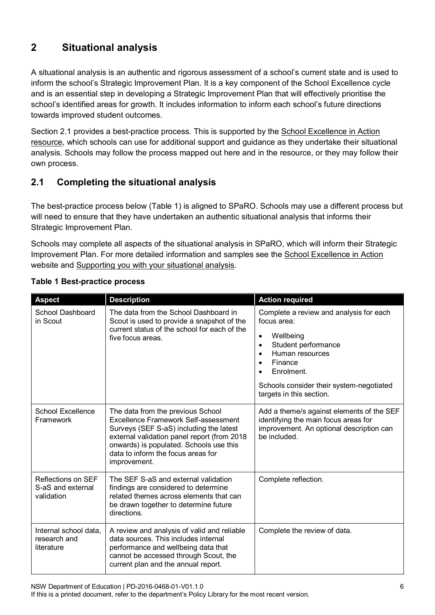# <span id="page-5-0"></span>**2 Situational analysis**

A situational analysis is an authentic and rigorous assessment of a school's current state and is used to inform the school's Strategic Improvement Plan. It is a key component of the School Excellence cycle and is an essential step in developing a Strategic Improvement Plan that will effectively prioritise the school's identified areas for growth. It includes information to inform each school's future directions towards improved student outcomes.

Section 2.1 provides a best-practice process. This is supported by the [School Excellence in Action](https://education.nsw.gov.au/teaching-and-learning/school-excellence-and-accountability/2021-school-excellence-in-action/situational-analysis/supporting-you-with-your-situational-analysis)  [resource,](https://education.nsw.gov.au/teaching-and-learning/school-excellence-and-accountability/2021-school-excellence-in-action/situational-analysis/supporting-you-with-your-situational-analysis) which schools can use for additional support and guidance as they undertake their situational analysis. Schools may follow the process mapped out here and in the resource, or they may follow their own process.

# <span id="page-5-1"></span>**2.1 Completing the situational analysis**

The best-practice process below (Table 1) is aligned to SPaRO. Schools may use a different process but will need to ensure that they have undertaken an authentic situational analysis that informs their Strategic Improvement Plan.

Schools may complete all aspects of the situational analysis in SPaRO, which will inform their Strategic Improvement Plan. For more detailed information and samples see the [School Excellence in Action](https://education.nsw.gov.au/teaching-and-learning/school-excellence-and-accountability/2021-school-excellence-in-action) website and [Supporting you with your situational analysis.](https://education.nsw.gov.au/teaching-and-learning/school-excellence-and-accountability/2021-school-excellence-in-action/situational-analysis/supporting-you-with-your-situational-analysis)

| <b>Aspect</b>                                                | <b>Description</b>                                                                                                                                                                                                                                                   | <b>Action required</b>                                                                                                                        |
|--------------------------------------------------------------|----------------------------------------------------------------------------------------------------------------------------------------------------------------------------------------------------------------------------------------------------------------------|-----------------------------------------------------------------------------------------------------------------------------------------------|
| School Dashboard<br>in Scout                                 | The data from the School Dashboard in<br>Scout is used to provide a snapshot of the<br>current status of the school for each of the<br>five focus areas.                                                                                                             | Complete a review and analysis for each<br>focus area:                                                                                        |
|                                                              |                                                                                                                                                                                                                                                                      | Wellbeing<br>$\bullet$<br>Student performance<br>$\bullet$<br>Human resources<br>Finance<br>$\bullet$<br>Enrolment.<br>$\bullet$              |
|                                                              |                                                                                                                                                                                                                                                                      | Schools consider their system-negotiated<br>targets in this section.                                                                          |
| School Excellence<br>Framework                               | The data from the previous School<br>Excellence Framework Self-assessment<br>Surveys (SEF S-aS) including the latest<br>external validation panel report (from 2018<br>onwards) is populated. Schools use this<br>data to inform the focus areas for<br>improvement. | Add a theme/s against elements of the SEF<br>identifying the main focus areas for<br>improvement. An optional description can<br>be included. |
| <b>Reflections on SEF</b><br>S-aS and external<br>validation | The SEF S-aS and external validation<br>findings are considered to determine<br>related themes across elements that can<br>be drawn together to determine future<br>directions.                                                                                      | Complete reflection.                                                                                                                          |
| Internal school data,<br>research and<br>literature          | A review and analysis of valid and reliable<br>data sources. This includes internal<br>performance and wellbeing data that<br>cannot be accessed through Scout, the<br>current plan and the annual report.                                                           | Complete the review of data.                                                                                                                  |

#### **Table 1 Best-practice process**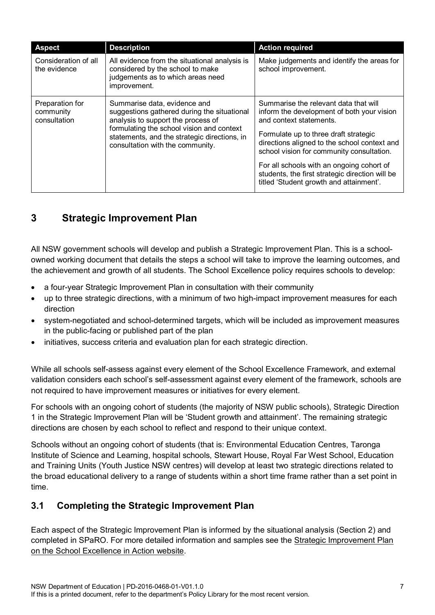| <b>Aspect</b>                                | <b>Description</b>                                                                                                                                                                                                                                 | <b>Action required</b>                                                                                                                                                                                                                                                                                                                                                                          |
|----------------------------------------------|----------------------------------------------------------------------------------------------------------------------------------------------------------------------------------------------------------------------------------------------------|-------------------------------------------------------------------------------------------------------------------------------------------------------------------------------------------------------------------------------------------------------------------------------------------------------------------------------------------------------------------------------------------------|
| Consideration of all<br>the evidence         | All evidence from the situational analysis is<br>considered by the school to make<br>judgements as to which areas need<br>improvement.                                                                                                             | Make judgements and identify the areas for<br>school improvement.                                                                                                                                                                                                                                                                                                                               |
| Preparation for<br>community<br>consultation | Summarise data, evidence and<br>suggestions gathered during the situational<br>analysis to support the process of<br>formulating the school vision and context<br>statements, and the strategic directions, in<br>consultation with the community. | Summarise the relevant data that will<br>inform the development of both your vision<br>and context statements.<br>Formulate up to three draft strategic<br>directions aligned to the school context and<br>school vision for community consultation.<br>For all schools with an ongoing cohort of<br>students, the first strategic direction will be<br>titled 'Student growth and attainment'. |

# <span id="page-6-0"></span>**3 Strategic Improvement Plan**

All NSW government schools will develop and publish a Strategic Improvement Plan. This is a schoolowned working document that details the steps a school will take to improve the learning outcomes, and the achievement and growth of all students. The School Excellence policy requires schools to develop:

- a four-year Strategic Improvement Plan in consultation with their community
- up to three strategic directions, with a minimum of two high-impact improvement measures for each direction
- system-negotiated and school-determined targets, which will be included as improvement measures in the public-facing or published part of the plan
- initiatives, success criteria and evaluation plan for each strategic direction.

While all schools self-assess against every element of the School Excellence Framework, and external validation considers each school's self-assessment against every element of the framework, schools are not required to have improvement measures or initiatives for every element.

For schools with an ongoing cohort of students (the majority of NSW public schools), Strategic Direction 1 in the Strategic Improvement Plan will be 'Student growth and attainment'. The remaining strategic directions are chosen by each school to reflect and respond to their unique context.

Schools without an ongoing cohort of students (that is: Environmental Education Centres, Taronga Institute of Science and Learning, hospital schools, Stewart House, Royal Far West School, Education and Training Units (Youth Justice NSW centres) will develop at least two strategic directions related to the broad educational delivery to a range of students within a short time frame rather than a set point in time.

### <span id="page-6-1"></span>**3.1 Completing the Strategic Improvement Plan**

Each aspect of the Strategic Improvement Plan is informed by the situational analysis (Section 2) and completed in SPaRO. For more detailed information and samples see the [Strategic Improvement Plan](https://education.nsw.gov.au/teaching-and-learning/school-excellence-and-accountability/2021-school-excellence-in-action/strategic-improvement-plan/components/school-context-samples) on the [School Excellence in Action website.](https://education.nsw.gov.au/teaching-and-learning/school-excellence-and-accountability/2021-school-excellence-in-action/strategic-improvement-plan/components/school-context-samples)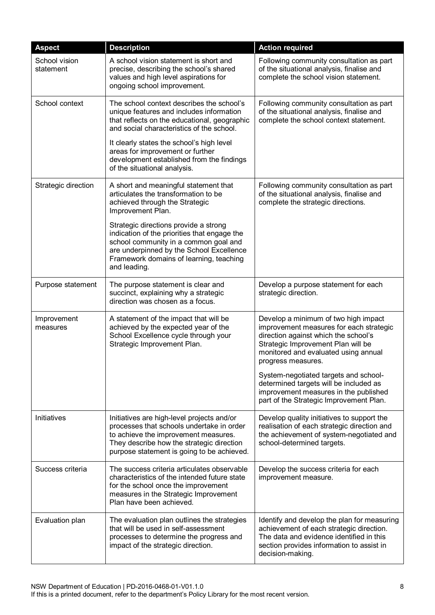| <b>Aspect</b>              | <b>Description</b>                                                                                                                                                                                                                    | <b>Action required</b>                                                                                                                                                                                                      |
|----------------------------|---------------------------------------------------------------------------------------------------------------------------------------------------------------------------------------------------------------------------------------|-----------------------------------------------------------------------------------------------------------------------------------------------------------------------------------------------------------------------------|
| School vision<br>statement | A school vision statement is short and<br>precise, describing the school's shared<br>values and high level aspirations for<br>ongoing school improvement.                                                                             | Following community consultation as part<br>of the situational analysis, finalise and<br>complete the school vision statement.                                                                                              |
| School context             | The school context describes the school's<br>unique features and includes information<br>that reflects on the educational, geographic<br>and social characteristics of the school.                                                    | Following community consultation as part<br>of the situational analysis, finalise and<br>complete the school context statement.                                                                                             |
|                            | It clearly states the school's high level<br>areas for improvement or further<br>development established from the findings<br>of the situational analysis.                                                                            |                                                                                                                                                                                                                             |
| Strategic direction        | A short and meaningful statement that<br>articulates the transformation to be<br>achieved through the Strategic<br>Improvement Plan.                                                                                                  | Following community consultation as part<br>of the situational analysis, finalise and<br>complete the strategic directions.                                                                                                 |
|                            | Strategic directions provide a strong<br>indication of the priorities that engage the<br>school community in a common goal and<br>are underpinned by the School Excellence<br>Framework domains of learning, teaching<br>and leading. |                                                                                                                                                                                                                             |
| Purpose statement          | The purpose statement is clear and<br>succinct, explaining why a strategic<br>direction was chosen as a focus.                                                                                                                        | Develop a purpose statement for each<br>strategic direction.                                                                                                                                                                |
| Improvement<br>measures    | A statement of the impact that will be<br>achieved by the expected year of the<br>School Excellence cycle through your<br>Strategic Improvement Plan.                                                                                 | Develop a minimum of two high impact<br>improvement measures for each strategic<br>direction against which the school's<br>Strategic Improvement Plan will be<br>monitored and evaluated using annual<br>progress measures. |
|                            |                                                                                                                                                                                                                                       | System-negotiated targets and school-<br>determined targets will be included as<br>improvement measures in the published<br>part of the Strategic Improvement Plan.                                                         |
| Initiatives                | Initiatives are high-level projects and/or<br>processes that schools undertake in order<br>to achieve the improvement measures.<br>They describe how the strategic direction<br>purpose statement is going to be achieved.            | Develop quality initiatives to support the<br>realisation of each strategic direction and<br>the achievement of system-negotiated and<br>school-determined targets.                                                         |
| Success criteria           | The success criteria articulates observable<br>characteristics of the intended future state<br>for the school once the improvement<br>measures in the Strategic Improvement<br>Plan have been achieved.                               | Develop the success criteria for each<br>improvement measure.                                                                                                                                                               |
| Evaluation plan            | The evaluation plan outlines the strategies<br>that will be used in self-assessment<br>processes to determine the progress and<br>impact of the strategic direction.                                                                  | Identify and develop the plan for measuring<br>achievement of each strategic direction.<br>The data and evidence identified in this<br>section provides information to assist in<br>decision-making.                        |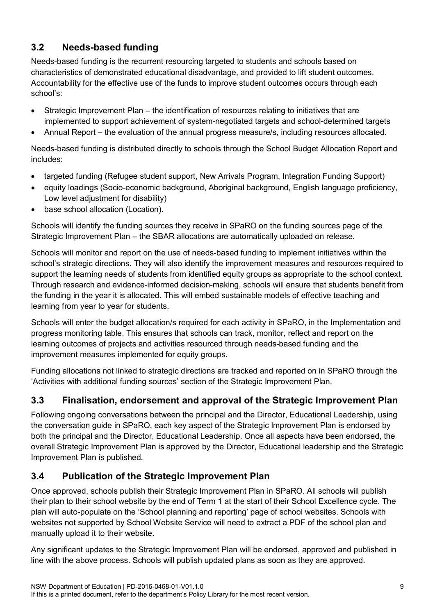# <span id="page-8-0"></span>**3.2 Needs-based funding**

Needs-based funding is the recurrent resourcing targeted to students and schools based on characteristics of demonstrated educational disadvantage, and provided to lift student outcomes. Accountability for the effective use of the funds to improve student outcomes occurs through each school's:

- Strategic Improvement Plan the identification of resources relating to initiatives that are implemented to support achievement of system-negotiated targets and school-determined targets
- Annual Report the evaluation of the annual progress measure/s, including resources allocated.

Needs-based funding is distributed directly to schools through the School Budget Allocation Report and includes:

- targeted funding (Refugee student support, New Arrivals Program, Integration Funding Support)
- equity loadings (Socio-economic background, Aboriginal background, English language proficiency, Low level adjustment for disability)
- base school allocation (Location).

Schools will identify the funding sources they receive in SPaRO on the funding sources page of the Strategic Improvement Plan – the SBAR allocations are automatically uploaded on release.

Schools will monitor and report on the use of needs-based funding to implement initiatives within the school's strategic directions. They will also identify the improvement measures and resources required to support the learning needs of students from identified equity groups as appropriate to the school context. Through research and evidence-informed decision-making, schools will ensure that students benefit from the funding in the year it is allocated. This will embed sustainable models of effective teaching and learning from year to year for students.

Schools will enter the budget allocation/s required for each activity in SPaRO, in the Implementation and progress monitoring table. This ensures that schools can track, monitor, reflect and report on the learning outcomes of projects and activities resourced through needs-based funding and the improvement measures implemented for equity groups.

Funding allocations not linked to strategic directions are tracked and reported on in SPaRO through the 'Activities with additional funding sources' section of the Strategic Improvement Plan.

# <span id="page-8-1"></span>**3.3 Finalisation, endorsement and approval of the Strategic Improvement Plan**

Following ongoing conversations between the principal and the Director, Educational Leadership, using the conversation guide in SPaRO, each key aspect of the Strategic Improvement Plan is endorsed by both the principal and the Director, Educational Leadership. Once all aspects have been endorsed, the overall Strategic Improvement Plan is approved by the Director, Educational leadership and the Strategic Improvement Plan is published.

# <span id="page-8-2"></span>**3.4 Publication of the Strategic Improvement Plan**

Once approved, schools publish their Strategic Improvement Plan in SPaRO. All schools will publish their plan to their school website by the end of Term 1 at the start of their School Excellence cycle. The plan will auto-populate on the 'School planning and reporting' page of school websites. Schools with websites not supported by School Website Service will need to extract a PDF of the school plan and manually upload it to their website.

Any significant updates to the Strategic Improvement Plan will be endorsed, approved and published in line with the above process. Schools will publish updated plans as soon as they are approved.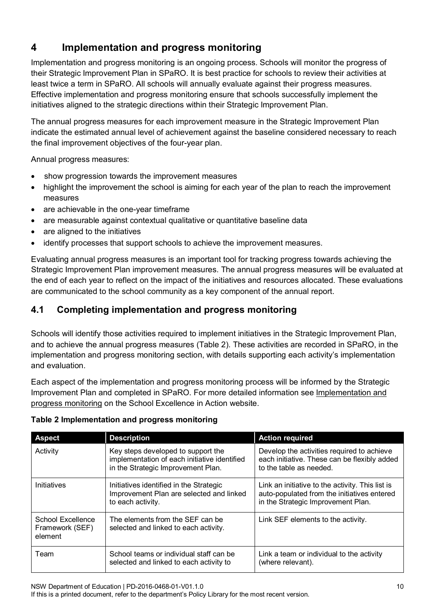# <span id="page-9-0"></span>**4 Implementation and progress monitoring**

Implementation and progress monitoring is an ongoing process. Schools will monitor the progress of their Strategic Improvement Plan in SPaRO. It is best practice for schools to review their activities at least twice a term in SPaRO. All schools will annually evaluate against their progress measures. Effective implementation and progress monitoring ensure that schools successfully implement the initiatives aligned to the strategic directions within their Strategic Improvement Plan.

The annual progress measures for each improvement measure in the Strategic Improvement Plan indicate the estimated annual level of achievement against the baseline considered necessary to reach the final improvement objectives of the four-year plan.

Annual progress measures:

- show progression towards the improvement measures
- highlight the improvement the school is aiming for each year of the plan to reach the improvement measures
- are achievable in the one-year timeframe
- are measurable against contextual qualitative or quantitative baseline data
- are aligned to the initiatives
- identify processes that support schools to achieve the improvement measures.

Evaluating annual progress measures is an important tool for tracking progress towards achieving the Strategic Improvement Plan improvement measures. The annual progress measures will be evaluated at the end of each year to reflect on the impact of the initiatives and resources allocated. These evaluations are communicated to the school community as a key component of the annual report.

# <span id="page-9-1"></span>**4.1 Completing implementation and progress monitoring**

Schools will identify those activities required to implement initiatives in the Strategic Improvement Plan, and to achieve the annual progress measures (Table 2). These activities are recorded in SPaRO, in the implementation and progress monitoring section, with details supporting each activity's implementation and evaluation.

Each aspect of the implementation and progress monitoring process will be informed by the Strategic Improvement Plan and completed in SPaRO. For more detailed information see [Implementation and](https://education.nsw.gov.au/teaching-and-learning/school-excellence-and-accountability/2021-school-excellence-in-action/implementation-and-progress-monitoring/ongoing-self-assessment-evaluation-and-annual-reflection)  [progress monitoring](https://education.nsw.gov.au/teaching-and-learning/school-excellence-and-accountability/2021-school-excellence-in-action/implementation-and-progress-monitoring/ongoing-self-assessment-evaluation-and-annual-reflection) on the School Excellence in Action website.

### **Table 2 Implementation and progress monitoring**

| <b>Aspect</b>                                   | <b>Description</b>                                                                                                       | <b>Action required</b>                                                                                                                |
|-------------------------------------------------|--------------------------------------------------------------------------------------------------------------------------|---------------------------------------------------------------------------------------------------------------------------------------|
| Activity                                        | Key steps developed to support the<br>implementation of each initiative identified<br>in the Strategic Improvement Plan. | Develop the activities required to achieve<br>each initiative. These can be flexibly added<br>to the table as needed.                 |
| Initiatives                                     | Initiatives identified in the Strategic<br>Improvement Plan are selected and linked<br>to each activity.                 | Link an initiative to the activity. This list is<br>auto-populated from the initiatives entered<br>in the Strategic Improvement Plan. |
| School Excellence<br>Framework (SEF)<br>element | The elements from the SEF can be<br>selected and linked to each activity.                                                | Link SEF elements to the activity.                                                                                                    |
| Team                                            | School teams or individual staff can be<br>selected and linked to each activity to                                       | Link a team or individual to the activity<br>(where relevant).                                                                        |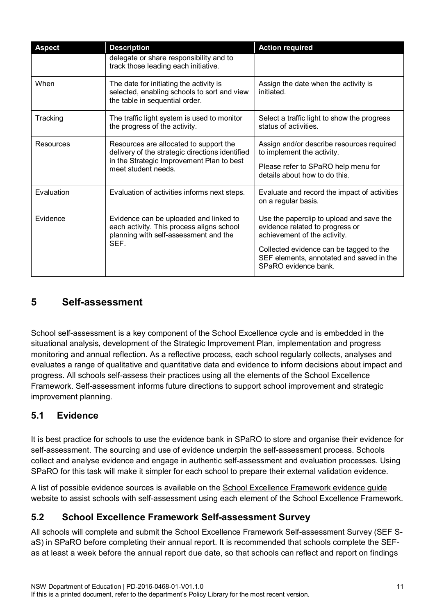| <b>Aspect</b> | <b>Description</b>                                                                                                                                            | <b>Action required</b>                                                                                                                                                                                                     |
|---------------|---------------------------------------------------------------------------------------------------------------------------------------------------------------|----------------------------------------------------------------------------------------------------------------------------------------------------------------------------------------------------------------------------|
|               | delegate or share responsibility and to<br>track those leading each initiative.                                                                               |                                                                                                                                                                                                                            |
| When          | The date for initiating the activity is<br>selected, enabling schools to sort and view<br>the table in sequential order.                                      | Assign the date when the activity is<br>initiated.                                                                                                                                                                         |
| Tracking      | The traffic light system is used to monitor<br>the progress of the activity.                                                                                  | Select a traffic light to show the progress<br>status of activities.                                                                                                                                                       |
| Resources     | Resources are allocated to support the<br>delivery of the strategic directions identified<br>in the Strategic Improvement Plan to best<br>meet student needs. | Assign and/or describe resources required<br>to implement the activity.<br>Please refer to SPaRO help menu for<br>details about how to do this.                                                                            |
| Evaluation    | Evaluation of activities informs next steps.                                                                                                                  | Evaluate and record the impact of activities<br>on a regular basis.                                                                                                                                                        |
| Evidence      | Evidence can be uploaded and linked to<br>each activity. This process aligns school<br>planning with self-assessment and the<br>SEF.                          | Use the paperclip to upload and save the<br>evidence related to progress or<br>achievement of the activity.<br>Collected evidence can be tagged to the<br>SEF elements, annotated and saved in the<br>SPaRO evidence bank. |

# <span id="page-10-0"></span>**5 Self-assessment**

School self-assessment is a key component of the School Excellence cycle and is embedded in the situational analysis, development of the Strategic Improvement Plan, implementation and progress monitoring and annual reflection. As a reflective process, each school regularly collects, analyses and evaluates a range of qualitative and quantitative data and evidence to inform decisions about impact and progress. All schools self-assess their practices using all the elements of the School Excellence Framework. Self-assessment informs future directions to support school improvement and strategic improvement planning.

# <span id="page-10-1"></span>**5.1 Evidence**

It is best practice for schools to use the evidence bank in SPaRO to store and organise their evidence for self-assessment. The sourcing and use of evidence underpin the self-assessment process. Schools collect and analyse evidence and engage in authentic self-assessment and evaluation processes. Using SPaRO for this task will make it simpler for each school to prepare their external validation evidence.

A list of possible evidence sources is available on the [School Excellence Framework evidence guide](https://education.nsw.gov.au/teaching-and-learning/school-excellence-and-accountability/sef-evidence-guide/sources-of-evidence) website to assist schools with self-assessment using each element of the School Excellence Framework.

# <span id="page-10-2"></span>**5.2 School Excellence Framework Self-assessment Survey**

All schools will complete and submit the School Excellence Framework Self-assessment Survey (SEF SaS) in SPaRO before completing their annual report. It is recommended that schools complete the SEFas at least a week before the annual report due date, so that schools can reflect and report on findings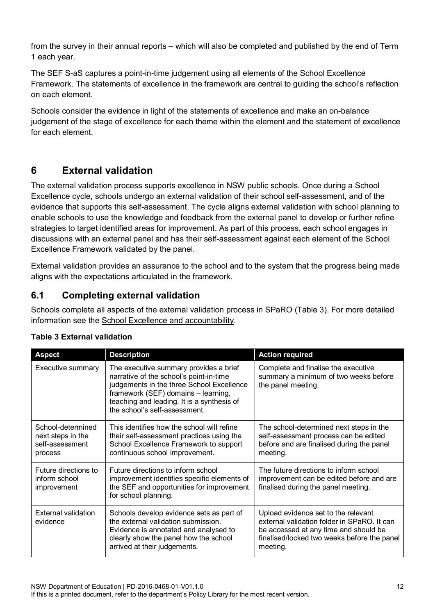from the survey in their annual reports – which will also be completed and published by the end of Term 1 each year.

The SEF S-aS captures a point-in-time judgement using all elements of the School Excellence Framework. The statements of excellence in the framework are central to guiding the school's reflection on each element.

Schools consider the evidence in light of the statements of excellence and make an on-balance judgement of the stage of excellence for each theme within the element and the statement of excellence for each element.

# <span id="page-11-0"></span>**6 External validation**

The external validation process supports excellence in NSW public schools. Once during a School Excellence cycle, schools undergo an external validation of their school self-assessment, and of the evidence that supports this self-assessment. The cycle aligns external validation with school planning to enable schools to use the knowledge and feedback from the external panel to develop or further refine strategies to target identified areas for improvement. As part of this process, each school engages in discussions with an external panel and has their self-assessment against each element of the School Excellence Framework validated by the panel.

External validation provides an assurance to the school and to the system that the progress being made aligns with the expectations articulated in the framework.

### <span id="page-11-1"></span>**6.1 Completing external validation**

Schools complete all aspects of the external validation process in SPaRO (Table 3). For more detailed information see the [School Excellence and accountability.](https://education.nsw.gov.au/teaching-and-learning/school-excellence-and-accountability/sef-evidence-guide/external-validation)

| <b>Aspect</b>                                                        | <b>Description</b>                                                                                                                                                                                                                                   | <b>Action required</b>                                                                                                                                                                 |
|----------------------------------------------------------------------|------------------------------------------------------------------------------------------------------------------------------------------------------------------------------------------------------------------------------------------------------|----------------------------------------------------------------------------------------------------------------------------------------------------------------------------------------|
| Executive summary                                                    | The executive summary provides a brief<br>narrative of the school's point-in-time<br>judgements in the three School Excellence<br>framework (SEF) domains - learning,<br>teaching and leading. It is a synthesis of<br>the school's self-assessment. | Complete and finalise the executive<br>summary a minimum of two weeks before<br>the panel meeting.                                                                                     |
| School-determined<br>next steps in the<br>self-assessment<br>process | This identifies how the school will refine<br>their self-assessment practices using the<br>School Excellence Framework to support<br>continuous school improvement.                                                                                  | The school-determined next steps in the<br>self-assessment process can be edited<br>before and are finalised during the panel<br>meeting.                                              |
| Future directions to<br>inform school<br>improvement                 | Future directions to inform school<br>improvement identifies specific elements of<br>the SEF and opportunities for improvement<br>for school planning.                                                                                               | The future directions to inform school<br>improvement can be edited before and are<br>finalised during the panel meeting.                                                              |
| External validation<br>evidence                                      | Schools develop evidence sets as part of<br>the external validation submission.<br>Evidence is annotated and analysed to<br>clearly show the panel how the school<br>arrived at their judgements.                                                    | Upload evidence set to the relevant<br>external validation folder in SPaRO. It can<br>be accessed at any time and should be<br>finalised/locked two weeks before the panel<br>meeting. |

### **Table 3 External validation**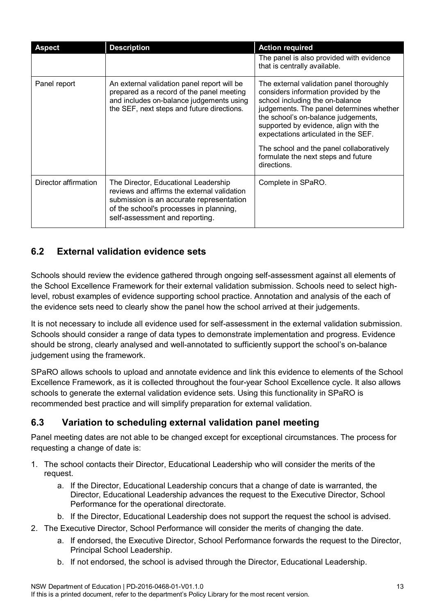| <b>Aspect</b>        | <b>Description</b>                                                                                                                                                                                          | <b>Action required</b>                                                                                                                                                                                                                                                                                                                                                                     |
|----------------------|-------------------------------------------------------------------------------------------------------------------------------------------------------------------------------------------------------------|--------------------------------------------------------------------------------------------------------------------------------------------------------------------------------------------------------------------------------------------------------------------------------------------------------------------------------------------------------------------------------------------|
|                      |                                                                                                                                                                                                             | The panel is also provided with evidence<br>that is centrally available.                                                                                                                                                                                                                                                                                                                   |
| Panel report         | An external validation panel report will be<br>prepared as a record of the panel meeting<br>and includes on-balance judgements using<br>the SEF, next steps and future directions.                          | The external validation panel thoroughly<br>considers information provided by the<br>school including the on-balance<br>judgements. The panel determines whether<br>the school's on-balance judgements,<br>supported by evidence, align with the<br>expectations articulated in the SEF.<br>The school and the panel collaboratively<br>formulate the next steps and future<br>directions. |
| Director affirmation | The Director, Educational Leadership<br>reviews and affirms the external validation<br>submission is an accurate representation<br>of the school's processes in planning,<br>self-assessment and reporting. | Complete in SPaRO.                                                                                                                                                                                                                                                                                                                                                                         |

# <span id="page-12-0"></span>**6.2 External validation evidence sets**

Schools should review the evidence gathered through ongoing self-assessment against all elements of the School Excellence Framework for their external validation submission. Schools need to select highlevel, robust examples of evidence supporting school practice. Annotation and analysis of the each of the evidence sets need to clearly show the panel how the school arrived at their judgements.

It is not necessary to include all evidence used for self-assessment in the external validation submission. Schools should consider a range of data types to demonstrate implementation and progress. Evidence should be strong, clearly analysed and well-annotated to sufficiently support the school's on-balance judgement using the framework.

SPaRO allows schools to upload and annotate evidence and link this evidence to elements of the School Excellence Framework, as it is collected throughout the four-year School Excellence cycle. It also allows schools to generate the external validation evidence sets. Using this functionality in SPaRO is recommended best practice and will simplify preparation for external validation.

# <span id="page-12-1"></span>**6.3 Variation to scheduling external validation panel meeting**

Panel meeting dates are not able to be changed except for exceptional circumstances. The process for requesting a change of date is:

- 1. The school contacts their Director, Educational Leadership who will consider the merits of the request.
	- a. If the Director, Educational Leadership concurs that a change of date is warranted, the Director, Educational Leadership advances the request to the Executive Director, School Performance for the operational directorate.
	- b. If the Director, Educational Leadership does not support the request the school is advised.
- 2. The Executive Director, School Performance will consider the merits of changing the date.
	- a. If endorsed, the Executive Director, School Performance forwards the request to the Director, Principal School Leadership.
	- b. If not endorsed, the school is advised through the Director, Educational Leadership.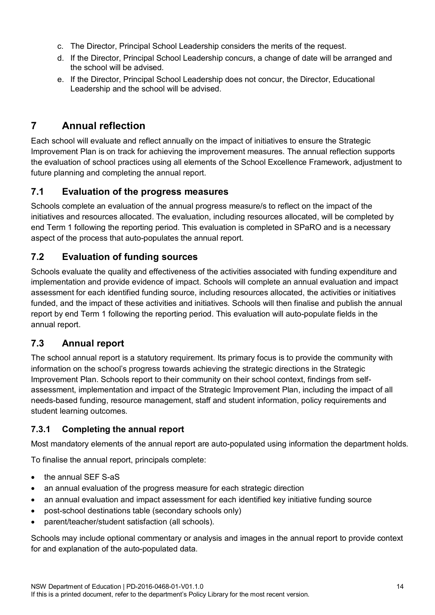- c. The Director, Principal School Leadership considers the merits of the request.
- d. If the Director, Principal School Leadership concurs, a change of date will be arranged and the school will be advised.
- e. If the Director, Principal School Leadership does not concur, the Director, Educational Leadership and the school will be advised.

# <span id="page-13-0"></span>**7 Annual reflection**

Each school will evaluate and reflect annually on the impact of initiatives to ensure the Strategic Improvement Plan is on track for achieving the improvement measures. The annual reflection supports the evaluation of school practices using all elements of the School Excellence Framework, adjustment to future planning and completing the annual report.

### <span id="page-13-1"></span>**7.1 Evaluation of the progress measures**

Schools complete an evaluation of the annual progress measure/s to reflect on the impact of the initiatives and resources allocated. The evaluation, including resources allocated, will be completed by end Term 1 following the reporting period. This evaluation is completed in SPaRO and is a necessary aspect of the process that auto-populates the annual report.

### <span id="page-13-2"></span>**7.2 Evaluation of funding sources**

Schools evaluate the quality and effectiveness of the activities associated with funding expenditure and implementation and provide evidence of impact. Schools will complete an annual evaluation and impact assessment for each identified funding source, including resources allocated, the activities or initiatives funded, and the impact of these activities and initiatives. Schools will then finalise and publish the annual report by end Term 1 following the reporting period. This evaluation will auto-populate fields in the annual report.

# <span id="page-13-3"></span>**7.3 Annual report**

The school annual report is a statutory requirement. Its primary focus is to provide the community with information on the school's progress towards achieving the strategic directions in the Strategic Improvement Plan. Schools report to their community on their school context, findings from selfassessment, implementation and impact of the Strategic Improvement Plan, including the impact of all needs-based funding, resource management, staff and student information, policy requirements and student learning outcomes.

### <span id="page-13-4"></span>**7.3.1 Completing the annual report**

Most mandatory elements of the annual report are auto-populated using information the department holds.

To finalise the annual report, principals complete:

- the annual SEF S-aS
- an annual evaluation of the progress measure for each strategic direction
- an annual evaluation and impact assessment for each identified key initiative funding source
- post-school destinations table (secondary schools only)
- parent/teacher/student satisfaction (all schools).

Schools may include optional commentary or analysis and images in the annual report to provide context for and explanation of the auto-populated data.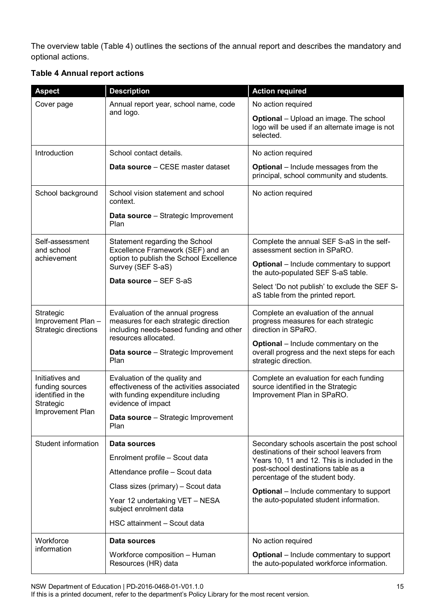The overview table (Table 4) outlines the sections of the annual report and describes the mandatory and optional actions.

#### **Table 4 Annual report actions**

| <b>Aspect</b>                                                        | <b>Description</b>                                                                                                                            | <b>Action required</b>                                                                                              |
|----------------------------------------------------------------------|-----------------------------------------------------------------------------------------------------------------------------------------------|---------------------------------------------------------------------------------------------------------------------|
| Cover page                                                           | Annual report year, school name, code                                                                                                         | No action required                                                                                                  |
|                                                                      | and logo.                                                                                                                                     | <b>Optional</b> - Upload an image. The school<br>logo will be used if an alternate image is not<br>selected.        |
| Introduction                                                         | School contact details.                                                                                                                       | No action required                                                                                                  |
|                                                                      | Data source - CESE master dataset                                                                                                             | <b>Optional</b> – Include messages from the<br>principal, school community and students.                            |
| School background                                                    | School vision statement and school<br>context.                                                                                                | No action required                                                                                                  |
|                                                                      | <b>Data source</b> - Strategic Improvement<br>Plan                                                                                            |                                                                                                                     |
| Self-assessment<br>and school                                        | Statement regarding the School<br>Excellence Framework (SEF) and an<br>option to publish the School Excellence<br>Survey (SEF S-aS)           | Complete the annual SEF S-aS in the self-<br>assessment section in SPaRO.                                           |
| achievement                                                          |                                                                                                                                               | <b>Optional</b> – Include commentary to support<br>the auto-populated SEF S-aS table.                               |
|                                                                      | Data source - SEF S-aS                                                                                                                        | Select 'Do not publish' to exclude the SEF S-<br>aS table from the printed report.                                  |
| Strategic<br>Improvement Plan-<br>Strategic directions               | Evaluation of the annual progress<br>measures for each strategic direction<br>including needs-based funding and other<br>resources allocated. | Complete an evaluation of the annual<br>progress measures for each strategic<br>direction in SPaRO.                 |
|                                                                      | <b>Data source</b> - Strategic Improvement<br>Plan                                                                                            | <b>Optional</b> – Include commentary on the<br>overall progress and the next steps for each<br>strategic direction. |
| Initiatives and<br>funding sources<br>identified in the<br>Strategic | Evaluation of the quality and<br>effectiveness of the activities associated<br>with funding expenditure including<br>evidence of impact       | Complete an evaluation for each funding<br>source identified in the Strategic<br>Improvement Plan in SPaRO.         |
| Improvement Plan                                                     | Data source - Strategic Improvement<br>Plan                                                                                                   |                                                                                                                     |
| Student information                                                  | Data sources                                                                                                                                  | Secondary schools ascertain the post school                                                                         |
|                                                                      | Enrolment profile - Scout data                                                                                                                | destinations of their school leavers from<br>Years 10, 11 and 12. This is included in the                           |
|                                                                      | Attendance profile - Scout data                                                                                                               | post-school destinations table as a<br>percentage of the student body.                                              |
|                                                                      | Class sizes (primary) - Scout data                                                                                                            | <b>Optional</b> – Include commentary to support                                                                     |
|                                                                      | Year 12 undertaking VET - NESA<br>subject enrolment data                                                                                      | the auto-populated student information.                                                                             |
|                                                                      | HSC attainment - Scout data                                                                                                                   |                                                                                                                     |
| Workforce                                                            | Data sources                                                                                                                                  | No action required                                                                                                  |
| information                                                          | Workforce composition - Human<br>Resources (HR) data                                                                                          | <b>Optional</b> – Include commentary to support<br>the auto-populated workforce information.                        |

NSW Department of Education | PD-2016-0468-01-V01.1.0 15

If this is a printed document, refer to the department's Policy Library for the most recent version.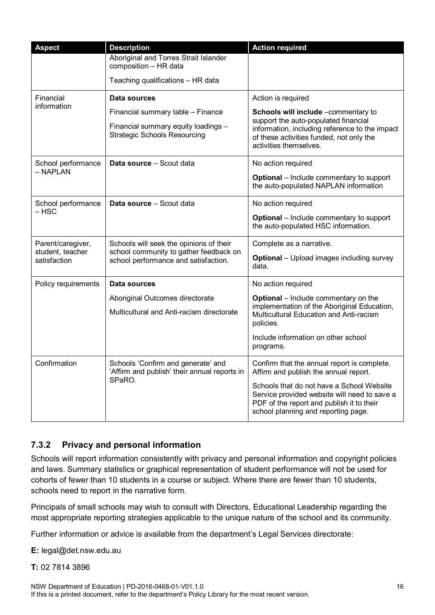| <b>Aspect</b>                    | <b>Description</b>                                                                           | <b>Action required</b>                                                                                                                                                        |
|----------------------------------|----------------------------------------------------------------------------------------------|-------------------------------------------------------------------------------------------------------------------------------------------------------------------------------|
|                                  | Aboriginal and Torres Strait Islander<br>composition - HR data                               |                                                                                                                                                                               |
|                                  | Teaching qualifications - HR data                                                            |                                                                                                                                                                               |
| Financial                        | Data sources                                                                                 | Action is required                                                                                                                                                            |
| information                      | Financial summary table - Finance                                                            | Schools will include -commentary to                                                                                                                                           |
|                                  | Financial summary equity loadings -<br><b>Strategic Schools Resourcing</b>                   | support the auto-populated financial<br>information, including reference to the impact<br>of these activities funded, not only the<br>activities themselves.                  |
| School performance               | Data source - Scout data                                                                     | No action required                                                                                                                                                            |
| – NAPLAN                         |                                                                                              | <b>Optional</b> – Include commentary to support<br>the auto-populated NAPLAN information                                                                                      |
| School performance               | Data source - Scout data                                                                     | No action required                                                                                                                                                            |
| – HSC                            |                                                                                              | <b>Optional</b> – Include commentary to support<br>the auto-populated HSC information.                                                                                        |
| Parent/caregiver,                | Schools will seek the opinions of their                                                      | Complete as a narrative.                                                                                                                                                      |
| student, teacher<br>satisfaction | school community to gather feedback on<br>school performance and satisfaction.               | <b>Optional</b> – Upload images including survey<br>data.                                                                                                                     |
| Policy requirements              | Data sources                                                                                 | No action required                                                                                                                                                            |
|                                  | Aboriginal Outcomes directorate                                                              | Optional - Include commentary on the<br>implementation of the Aboriginal Education,                                                                                           |
|                                  | Multicultural and Anti-racism directorate                                                    | Multicultural Education and Anti-racism<br>policies.                                                                                                                          |
|                                  |                                                                                              | Include information on other school<br>programs.                                                                                                                              |
| Confirmation                     | Schools 'Confirm and generate' and<br>'Affirm and publish' their annual reports in<br>SPaRO. | Confirm that the annual report is complete.<br>Affirm and publish the annual report.                                                                                          |
|                                  |                                                                                              | Schools that do not have a School Website<br>Service provided website will need to save a<br>PDF of the report and publish it to their<br>school planning and reporting page. |

### <span id="page-15-0"></span>**7.3.2 Privacy and personal information**

Schools will report information consistently with privacy and personal information and copyright policies and laws. Summary statistics or graphical representation of student performance will not be used for cohorts of fewer than 10 students in a course or subject. Where there are fewer than 10 students, schools need to report in the narrative form.

Principals of small schools may wish to consult with Directors, Educational Leadership regarding the most appropriate reporting strategies applicable to the unique nature of the school and its community.

Further information or advice is available from the department's Legal Services directorate:

**E:** legal@det.nsw.edu.au

#### **T:** 02 7814 3896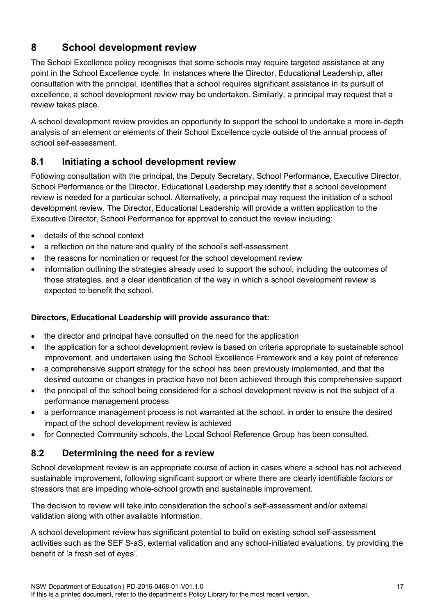# <span id="page-16-0"></span>**8 School development review**

The School Excellence policy recognises that some schools may require targeted assistance at any point in the School Excellence cycle. In instances where the Director, Educational Leadership, after consultation with the principal, identifies that a school requires significant assistance in its pursuit of excellence, a school development review may be undertaken. Similarly, a principal may request that a review takes place.

A school development review provides an opportunity to support the school to undertake a more in-depth analysis of an element or elements of their School Excellence cycle outside of the annual process of school self-assessment.

# <span id="page-16-1"></span>**8.1 Initiating a school development review**

Following consultation with the principal, the Deputy Secretary, School Performance, Executive Director, School Performance or the Director, Educational Leadership may identify that a school development review is needed for a particular school. Alternatively, a principal may request the initiation of a school development review. The Director, Educational Leadership will provide a written application to the Executive Director, School Performance for approval to conduct the review including:

- details of the school context
- a reflection on the nature and quality of the school's self-assessment
- the reasons for nomination or request for the school development review
- information outlining the strategies already used to support the school, including the outcomes of those strategies, and a clear identification of the way in which a school development review is expected to benefit the school.

### **Directors, Educational Leadership will provide assurance that:**

- the director and principal have consulted on the need for the application
- the application for a school development review is based on criteria appropriate to sustainable school improvement, and undertaken using the School Excellence Framework and a key point of reference
- a comprehensive support strategy for the school has been previously implemented, and that the desired outcome or changes in practice have not been achieved through this comprehensive support
- the principal of the school being considered for a school development review is not the subject of a performance management process
- a performance management process is not warranted at the school, in order to ensure the desired impact of the school development review is achieved
- for Connected Community schools, the Local School Reference Group has been consulted.

# <span id="page-16-2"></span>**8.2 Determining the need for a review**

School development review is an appropriate course of action in cases where a school has not achieved sustainable improvement, following significant support or where there are clearly identifiable factors or stressors that are impeding whole-school growth and sustainable improvement.

The decision to review will take into consideration the school's self-assessment and/or external validation along with other available information.

A school development review has significant potential to build on existing school self-assessment activities such as the SEF S-aS, external validation and any school-initiated evaluations, by providing the benefit of 'a fresh set of eyes'.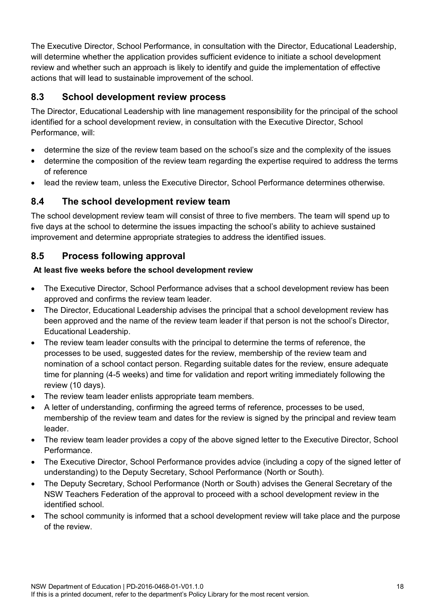The Executive Director, School Performance, in consultation with the Director, Educational Leadership, will determine whether the application provides sufficient evidence to initiate a school development review and whether such an approach is likely to identify and guide the implementation of effective actions that will lead to sustainable improvement of the school.

# <span id="page-17-0"></span>**8.3 School development review process**

The Director, Educational Leadership with line management responsibility for the principal of the school identified for a school development review, in consultation with the Executive Director, School Performance, will:

- determine the size of the review team based on the school's size and the complexity of the issues
- determine the composition of the review team regarding the expertise required to address the terms of reference
- lead the review team, unless the Executive Director, School Performance determines otherwise.

### <span id="page-17-1"></span>**8.4 The school development review team**

The school development review team will consist of three to five members. The team will spend up to five days at the school to determine the issues impacting the school's ability to achieve sustained improvement and determine appropriate strategies to address the identified issues.

### <span id="page-17-2"></span>**8.5 Process following approval**

#### **At least five weeks before the school development review**

- The Executive Director, School Performance advises that a school development review has been approved and confirms the review team leader.
- The Director, Educational Leadership advises the principal that a school development review has been approved and the name of the review team leader if that person is not the school's Director, Educational Leadership.
- The review team leader consults with the principal to determine the terms of reference, the processes to be used, suggested dates for the review, membership of the review team and nomination of a school contact person. Regarding suitable dates for the review, ensure adequate time for planning (4-5 weeks) and time for validation and report writing immediately following the review (10 days).
- The review team leader enlists appropriate team members.
- A letter of understanding, confirming the agreed terms of reference, processes to be used, membership of the review team and dates for the review is signed by the principal and review team leader.
- The review team leader provides a copy of the above signed letter to the Executive Director, School Performance.
- The Executive Director, School Performance provides advice (including a copy of the signed letter of understanding) to the Deputy Secretary, School Performance (North or South).
- The Deputy Secretary, School Performance (North or South) advises the General Secretary of the NSW Teachers Federation of the approval to proceed with a school development review in the identified school.
- The school community is informed that a school development review will take place and the purpose of the review.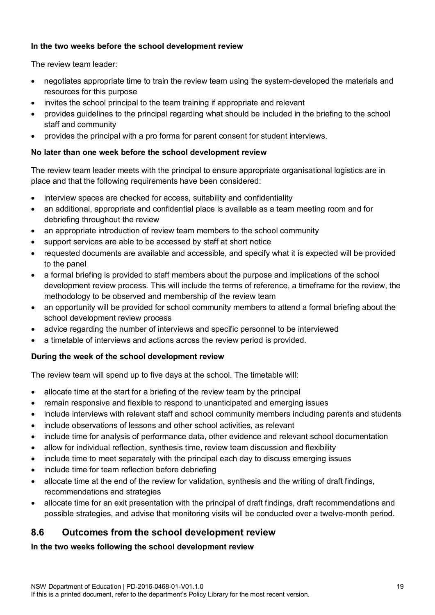#### **In the two weeks before the school development review**

The review team leader:

- negotiates appropriate time to train the review team using the system-developed the materials and resources for this purpose
- invites the school principal to the team training if appropriate and relevant
- provides guidelines to the principal regarding what should be included in the briefing to the school staff and community
- provides the principal with a pro forma for parent consent for student interviews.

#### **No later than one week before the school development review**

The review team leader meets with the principal to ensure appropriate organisational logistics are in place and that the following requirements have been considered:

- interview spaces are checked for access, suitability and confidentiality
- an additional, appropriate and confidential place is available as a team meeting room and for debriefing throughout the review
- an appropriate introduction of review team members to the school community
- support services are able to be accessed by staff at short notice
- requested documents are available and accessible, and specify what it is expected will be provided to the panel
- a formal briefing is provided to staff members about the purpose and implications of the school development review process. This will include the terms of reference, a timeframe for the review, the methodology to be observed and membership of the review team
- an opportunity will be provided for school community members to attend a formal briefing about the school development review process
- advice regarding the number of interviews and specific personnel to be interviewed
- a timetable of interviews and actions across the review period is provided.

#### **During the week of the school development review**

The review team will spend up to five days at the school. The timetable will:

- allocate time at the start for a briefing of the review team by the principal
- remain responsive and flexible to respond to unanticipated and emerging issues
- include interviews with relevant staff and school community members including parents and students
- include observations of lessons and other school activities, as relevant
- include time for analysis of performance data, other evidence and relevant school documentation
- allow for individual reflection, synthesis time, review team discussion and flexibility
- include time to meet separately with the principal each day to discuss emerging issues
- include time for team reflection before debriefing
- allocate time at the end of the review for validation, synthesis and the writing of draft findings, recommendations and strategies
- allocate time for an exit presentation with the principal of draft findings, draft recommendations and possible strategies, and advise that monitoring visits will be conducted over a twelve-month period.

### <span id="page-18-0"></span>**8.6 Outcomes from the school development review**

#### **In the two weeks following the school development review**